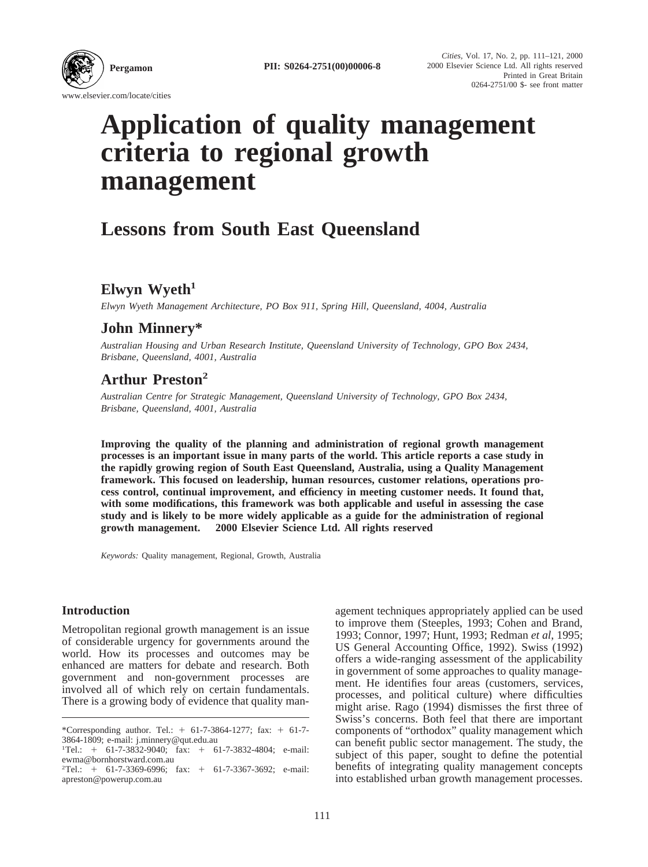



# **Application of quality management criteria to regional growth management**

# **Lessons from South East Queensland**

## Elwyn Wyeth<sup>1</sup>

*Elwyn Wyeth Management Architecture, PO Box 911, Spring Hill, Queensland, 4004, Australia*

## **John Minnery\***

*Australian Housing and Urban Research Institute, Queensland University of Technology, GPO Box 2434, Brisbane, Queensland, 4001, Australia*

## **Arthur Preston<sup>2</sup>**

*Australian Centre for Strategic Management, Queensland University of Technology, GPO Box 2434, Brisbane, Queensland, 4001, Australia*

**Improving the quality of the planning and administration of regional growth management processes is an important issue in many parts of the world. This article reports a case study in the rapidly growing region of South East Queensland, Australia, using a Quality Management framework. This focused on leadership, human resources, customer relations, operations process control, continual improvement, and efficiency in meeting customer needs. It found that, with some modifications, this framework was both applicable and useful in assessing the case study and is likely to be more widely applicable as a guide for the administration of regional growth management. 2000 Elsevier Science Ltd. All rights reserved**

*Keywords:* Quality management, Regional, Growth, Australia

#### **Introduction**

Metropolitan regional growth management is an issue of considerable urgency for governments around the world. How its processes and outcomes may be enhanced are matters for debate and research. Both government and non-government processes are involved all of which rely on certain fundamentals. There is a growing body of evidence that quality management techniques appropriately applied can be used to improve them (Steeples, 1993; Cohen and Brand, 1993; Connor, 1997; Hunt, 1993; Redman *et al*, 1995; US General Accounting Office, 1992). Swiss (1992) offers a wide-ranging assessment of the applicability in government of some approaches to quality management. He identifies four areas (customers, services, processes, and political culture) where difficulties might arise. Rago (1994) dismisses the first three of Swiss's concerns. Both feel that there are important components of "orthodox" quality management which can benefit public sector management. The study, the subject of this paper, sought to define the potential benefits of integrating quality management concepts into established urban growth management processes.

<sup>\*</sup>Corresponding author. Tel.:  $+ 61-7-3864-1277$ ; fax:  $+ 61-7-$ 3864-1809; e-mail: j.minnery@qut.edu.au

<sup>&</sup>lt;sup>1</sup>Tel.: + 61-7-3832-9040; fax: + 61-7-3832-4804; e-mail: ewma@bornhorstward.com.au

 ${}^{2}$ Tel.: + 61-7-3369-6996; fax: + 61-7-3367-3692; e-mail: apreston@powerup.com.au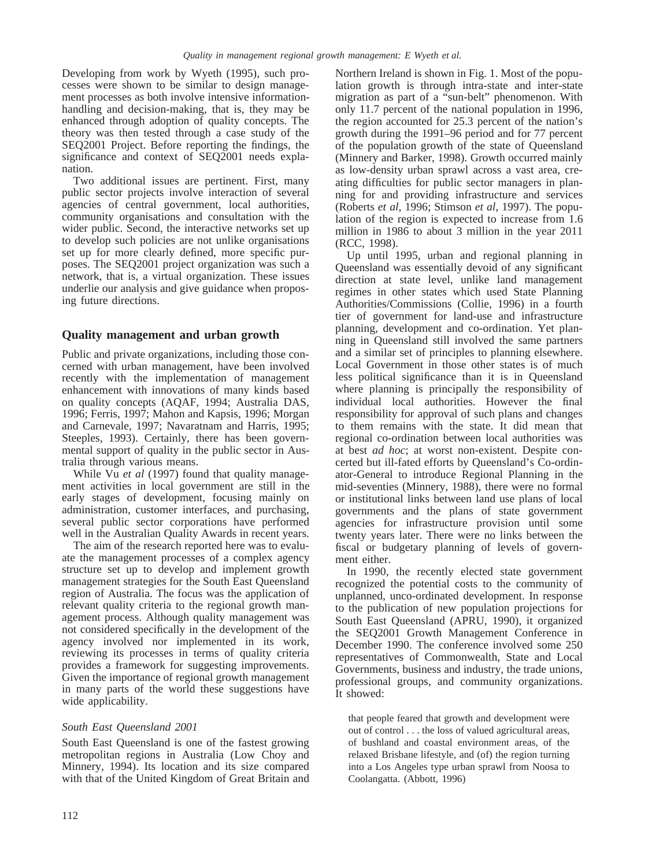Developing from work by Wyeth (1995), such processes were shown to be similar to design management processes as both involve intensive informationhandling and decision-making, that is, they may be enhanced through adoption of quality concepts. The theory was then tested through a case study of the SEQ2001 Project. Before reporting the findings, the significance and context of SEQ2001 needs explanation.

Two additional issues are pertinent. First, many public sector projects involve interaction of several agencies of central government, local authorities, community organisations and consultation with the wider public. Second, the interactive networks set up to develop such policies are not unlike organisations set up for more clearly defined, more specific purposes. The SEQ2001 project organization was such a network, that is, a virtual organization. These issues underlie our analysis and give guidance when proposing future directions.

#### **Quality management and urban growth**

Public and private organizations, including those concerned with urban management, have been involved recently with the implementation of management enhancement with innovations of many kinds based on quality concepts (AQAF, 1994; Australia DAS, 1996; Ferris, 1997; Mahon and Kapsis, 1996; Morgan and Carnevale, 1997; Navaratnam and Harris, 1995; Steeples, 1993). Certainly, there has been governmental support of quality in the public sector in Australia through various means.

While Vu *et al* (1997) found that quality management activities in local government are still in the early stages of development, focusing mainly on administration, customer interfaces, and purchasing, several public sector corporations have performed well in the Australian Quality Awards in recent years.

The aim of the research reported here was to evaluate the management processes of a complex agency structure set up to develop and implement growth management strategies for the South East Queensland region of Australia. The focus was the application of relevant quality criteria to the regional growth management process. Although quality management was not considered specifically in the development of the agency involved nor implemented in its work, reviewing its processes in terms of quality criteria provides a framework for suggesting improvements. Given the importance of regional growth management in many parts of the world these suggestions have wide applicability.

#### *South East Queensland 2001*

South East Queensland is one of the fastest growing metropolitan regions in Australia (Low Choy and Minnery, 1994). Its location and its size compared with that of the United Kingdom of Great Britain and Northern Ireland is shown in Fig. 1. Most of the population growth is through intra-state and inter-state migration as part of a "sun-belt" phenomenon. With only 11.7 percent of the national population in 1996, the region accounted for 25.3 percent of the nation's growth during the 1991–96 period and for 77 percent of the population growth of the state of Queensland (Minnery and Barker, 1998). Growth occurred mainly as low-density urban sprawl across a vast area, creating difficulties for public sector managers in planning for and providing infrastructure and services (Roberts *et al*, 1996; Stimson *et al*, 1997). The population of the region is expected to increase from 1.6 million in 1986 to about 3 million in the year 2011 (RCC, 1998).

Up until 1995, urban and regional planning in Queensland was essentially devoid of any significant direction at state level, unlike land management regimes in other states which used State Planning Authorities/Commissions (Collie, 1996) in a fourth tier of government for land-use and infrastructure planning, development and co-ordination. Yet planning in Queensland still involved the same partners and a similar set of principles to planning elsewhere. Local Government in those other states is of much less political significance than it is in Queensland where planning is principally the responsibility of individual local authorities. However the final responsibility for approval of such plans and changes to them remains with the state. It did mean that regional co-ordination between local authorities was at best *ad hoc*; at worst non-existent. Despite concerted but ill-fated efforts by Queensland's Co-ordinator-General to introduce Regional Planning in the mid-seventies (Minnery, 1988), there were no formal or institutional links between land use plans of local governments and the plans of state government agencies for infrastructure provision until some twenty years later. There were no links between the fiscal or budgetary planning of levels of government either.

In 1990, the recently elected state government recognized the potential costs to the community of unplanned, unco-ordinated development. In response to the publication of new population projections for South East Queensland (APRU, 1990), it organized the SEQ2001 Growth Management Conference in December 1990. The conference involved some 250 representatives of Commonwealth, State and Local Governments, business and industry, the trade unions, professional groups, and community organizations. It showed:

that people feared that growth and development were out of control . . . the loss of valued agricultural areas, of bushland and coastal environment areas, of the relaxed Brisbane lifestyle, and (of) the region turning into a Los Angeles type urban sprawl from Noosa to Coolangatta. (Abbott, 1996)